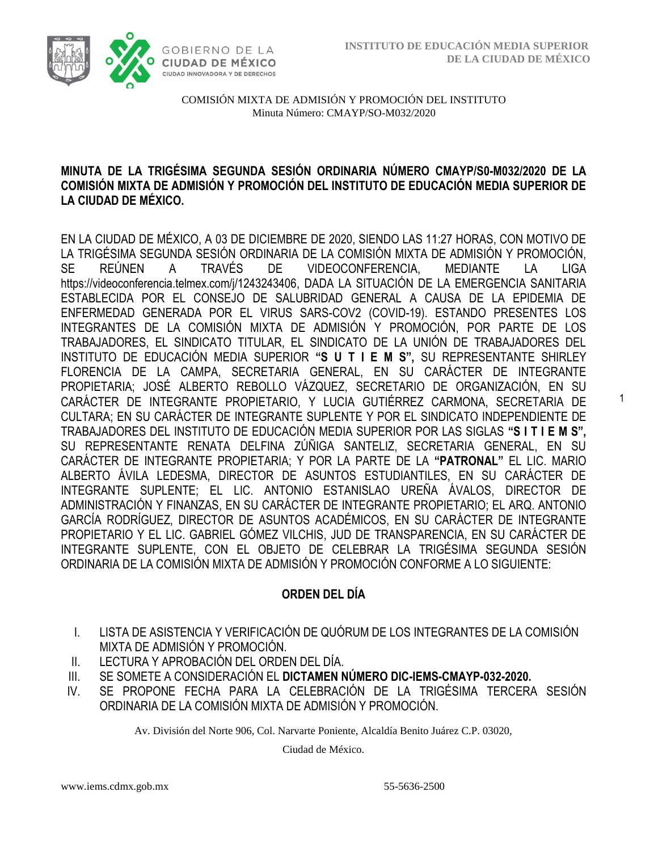1



COMISIÓN MIXTA DE ADMISIÓN Y PROMOCIÓN DEL INSTITUTO Minuta Número: CMAYP/SO-M032/2020

## **MINUTA DE LA TRIGÉSIMA SEGUNDA SESIÓN ORDINARIA NÚMERO CMAYP/S0-M032/2020 DE LA COMISIÓN MIXTA DE ADMISIÓN Y PROMOCIÓN DEL INSTITUTO DE EDUCACIÓN MEDIA SUPERIOR DE LA CIUDAD DE MÉXICO.**

EN LA CIUDAD DE MÉXICO, A 03 DE DICIEMBRE DE 2020, SIENDO LAS 11:27 HORAS, CON MOTIVO DE LA TRIGÉSIMA SEGUNDA SESIÓN ORDINARIA DE LA COMISIÓN MIXTA DE ADMISIÓN Y PROMOCIÓN, SE REÚNEN A TRAVÉS DE VIDEOCONFERENCIA, MEDIANTE LA LIGA https://videoconferencia.telmex.com/j/1243243406, DADA LA SITUACIÓN DE LA EMERGENCIA SANITARIA ESTABLECIDA POR EL CONSEJO DE SALUBRIDAD GENERAL A CAUSA DE LA EPIDEMIA DE ENFERMEDAD GENERADA POR EL VIRUS SARS-COV2 (COVID-19). ESTANDO PRESENTES LOS INTEGRANTES DE LA COMISIÓN MIXTA DE ADMISIÓN Y PROMOCIÓN, POR PARTE DE LOS TRABAJADORES, EL SINDICATO TITULAR, EL SINDICATO DE LA UNIÓN DE TRABAJADORES DEL INSTITUTO DE EDUCACIÓN MEDIA SUPERIOR **"S U T I E M S",** SU REPRESENTANTE SHIRLEY FLORENCIA DE LA CAMPA, SECRETARIA GENERAL, EN SU CARÁCTER DE INTEGRANTE PROPIETARIA; JOSÉ ALBERTO REBOLLO VÁZQUEZ, SECRETARIO DE ORGANIZACIÓN, EN SU CARÁCTER DE INTEGRANTE PROPIETARIO, Y LUCIA GUTIÉRREZ CARMONA, SECRETARIA DE CULTARA; EN SU CARÁCTER DE INTEGRANTE SUPLENTE Y POR EL SINDICATO INDEPENDIENTE DE TRABAJADORES DEL INSTITUTO DE EDUCACIÓN MEDIA SUPERIOR POR LAS SIGLAS **"S I T I E M S",**  SU REPRESENTANTE RENATA DELFINA ZÚÑIGA SANTELIZ, SECRETARIA GENERAL, EN SU CARÁCTER DE INTEGRANTE PROPIETARIA; Y POR LA PARTE DE LA **"PATRONAL"** EL LIC. MARIO ALBERTO ÁVILA LEDESMA, DIRECTOR DE ASUNTOS ESTUDIANTILES, EN SU CARÁCTER DE INTEGRANTE SUPLENTE; EL LIC. ANTONIO ESTANISLAO UREÑA ÁVALOS, DIRECTOR DE ADMINISTRACIÓN Y FINANZAS, EN SU CARÁCTER DE INTEGRANTE PROPIETARIO; EL ARQ. ANTONIO GARCÍA RODRÍGUEZ, DIRECTOR DE ASUNTOS ACADÉMICOS, EN SU CARÁCTER DE INTEGRANTE PROPIETARIO Y EL LIC. GABRIEL GÓMEZ VILCHIS, JUD DE TRANSPARENCIA, EN SU CARÁCTER DE INTEGRANTE SUPLENTE, CON EL OBJETO DE CELEBRAR LA TRIGÉSIMA SEGUNDA SESIÓN ORDINARIA DE LA COMISIÓN MIXTA DE ADMISIÓN Y PROMOCIÓN CONFORME A LO SIGUIENTE:

# **ORDEN DEL DÍA**

- I. LISTA DE ASISTENCIA Y VERIFICACIÓN DE QUÓRUM DE LOS INTEGRANTES DE LA COMISIÓN MIXTA DE ADMISIÓN Y PROMOCIÓN.
- II. LECTURA Y APROBACIÓN DEL ORDEN DEL DÍA.
- III. SE SOMETE A CONSIDERACIÓN EL **DICTAMEN NÚMERO DIC-IEMS-CMAYP-032-2020.**
- IV. SE PROPONE FECHA PARA LA CELEBRACIÓN DE LA TRIGÉSIMA TERCERA SESIÓN ORDINARIA DE LA COMISIÓN MIXTA DE ADMISIÓN Y PROMOCIÓN.

Av. División del Norte 906, Col. Narvarte Poniente, Alcaldía Benito Juárez C.P. 03020,

Ciudad de México.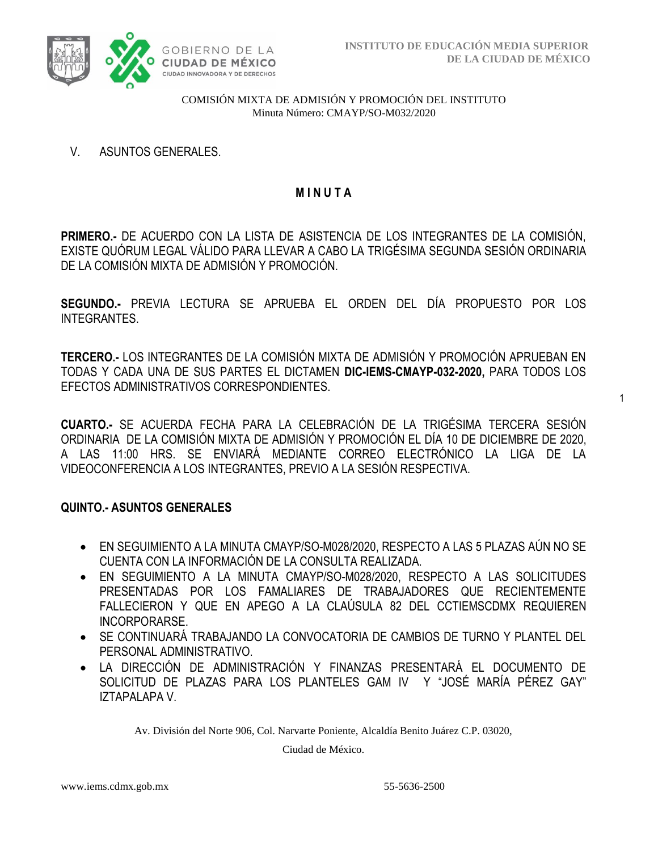

1

COMISIÓN MIXTA DE ADMISIÓN Y PROMOCIÓN DEL INSTITUTO Minuta Número: CMAYP/SO-M032/2020

V. ASUNTOS GENERALES.

### **M I N U T A**

**PRIMERO.-** DE ACUERDO CON LA LISTA DE ASISTENCIA DE LOS INTEGRANTES DE LA COMISIÓN, EXISTE QUÓRUM LEGAL VÁLIDO PARA LLEVAR A CABO LA TRIGÉSIMA SEGUNDA SESIÓN ORDINARIA DE LA COMISIÓN MIXTA DE ADMISIÓN Y PROMOCIÓN.

**SEGUNDO.-** PREVIA LECTURA SE APRUEBA EL ORDEN DEL DÍA PROPUESTO POR LOS INTEGRANTES.

**TERCERO.-** LOS INTEGRANTES DE LA COMISIÓN MIXTA DE ADMISIÓN Y PROMOCIÓN APRUEBAN EN TODAS Y CADA UNA DE SUS PARTES EL DICTAMEN **DIC-IEMS-CMAYP-032-2020,** PARA TODOS LOS EFECTOS ADMINISTRATIVOS CORRESPONDIENTES.

**CUARTO.-** SE ACUERDA FECHA PARA LA CELEBRACIÓN DE LA TRIGÉSIMA TERCERA SESIÓN ORDINARIA DE LA COMISIÓN MIXTA DE ADMISIÓN Y PROMOCIÓN EL DÍA 10 DE DICIEMBRE DE 2020, A LAS 11:00 HRS. SE ENVIARÁ MEDIANTE CORREO ELECTRÓNICO LA LIGA DE LA VIDEOCONFERENCIA A LOS INTEGRANTES, PREVIO A LA SESIÓN RESPECTIVA.

### **QUINTO.- ASUNTOS GENERALES**

- EN SEGUIMIENTO A LA MINUTA CMAYP/SO-M028/2020, RESPECTO A LAS 5 PLAZAS AÚN NO SE CUENTA CON LA INFORMACIÓN DE LA CONSULTA REALIZADA.
- EN SEGUIMIENTO A LA MINUTA CMAYP/SO-M028/2020, RESPECTO A LAS SOLICITUDES PRESENTADAS POR LOS FAMALIARES DE TRABAJADORES QUE RECIENTEMENTE FALLECIERON Y QUE EN APEGO A LA CLAÚSULA 82 DEL CCTIEMSCDMX REQUIEREN INCORPORARSE.
- SE CONTINUARÁ TRABAJANDO LA CONVOCATORIA DE CAMBIOS DE TURNO Y PLANTEL DEL PERSONAL ADMINISTRATIVO.
- LA DIRECCIÓN DE ADMINISTRACIÓN Y FINANZAS PRESENTARÁ EL DOCUMENTO DE SOLICITUD DE PLAZAS PARA LOS PLANTELES GAM IV Y "JOSÉ MARÍA PÉREZ GAY" IZTAPALAPA V.

Av. División del Norte 906, Col. Narvarte Poniente, Alcaldía Benito Juárez C.P. 03020,

Ciudad de México.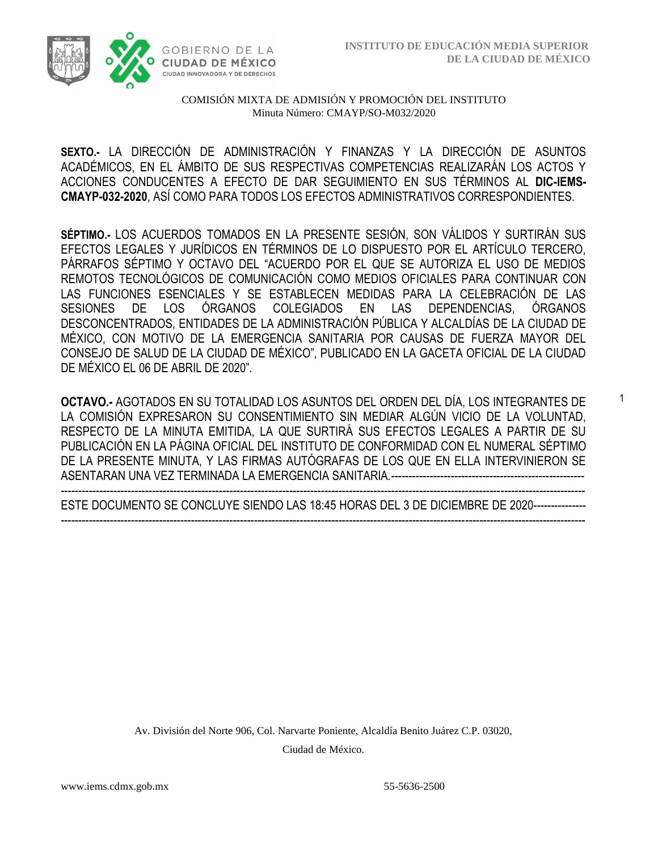1



### COMISIÓN MIXTA DE ADMISIÓN Y PROMOCIÓN DEL INSTITUTO Minuta Número: CMAYP/SO-M032/2020

**SEXTO.-** LA DIRECCIÓN DE ADMINISTRACIÓN Y FINANZAS Y LA DIRECCIÓN DE ASUNTOS ACADÉMICOS, EN EL ÁMBITO DE SUS RESPECTIVAS COMPETENCIAS REALIZARÁN LOS ACTOS Y ACCIONES CONDUCENTES A EFECTO DE DAR SEGUIMIENTO EN SUS TÉRMINOS AL **DIC-IEMS-CMAYP-032-2020**, ASÍ COMO PARA TODOS LOS EFECTOS ADMINISTRATIVOS CORRESPONDIENTES.

**SÉPTIMO.-** LOS ACUERDOS TOMADOS EN LA PRESENTE SESIÓN, SON VÁLIDOS Y SURTIRÁN SUS EFECTOS LEGALES Y JURÍDICOS EN TÉRMINOS DE LO DISPUESTO POR EL ARTÍCULO TERCERO, PÁRRAFOS SÉPTIMO Y OCTAVO DEL "ACUERDO POR EL QUE SE AUTORIZA EL USO DE MEDIOS REMOTOS TECNOLÓGICOS DE COMUNICACIÓN COMO MEDIOS OFICIALES PARA CONTINUAR CON LAS FUNCIONES ESENCIALES Y SE ESTABLECEN MEDIDAS PARA LA CELEBRACIÓN DE LAS SESIONES DE LOS ÓRGANOS COLEGIADOS EN LAS DEPENDENCIAS, ÓRGANOS DESCONCENTRADOS, ENTIDADES DE LA ADMINISTRACIÓN PÚBLICA Y ALCALDÍAS DE LA CIUDAD DE MÉXICO, CON MOTIVO DE LA EMERGENCIA SANITARIA POR CAUSAS DE FUERZA MAYOR DEL CONSEJO DE SALUD DE LA CIUDAD DE MÉXICO", PUBLICADO EN LA GACETA OFICIAL DE LA CIUDAD DE MÉXICO EL 06 DE ABRIL DE 2020".

**OCTAVO.-** AGOTADOS EN SU TOTALIDAD LOS ASUNTOS DEL ORDEN DEL DÍA, LOS INTEGRANTES DE LA COMISIÓN EXPRESARON SU CONSENTIMIENTO SIN MEDIAR ALGÚN VICIO DE LA VOLUNTAD, RESPECTO DE LA MINUTA EMITIDA, LA QUE SURTIRÁ SUS EFECTOS LEGALES A PARTIR DE SU PUBLICACIÓN EN LA PÁGINA OFICIAL DEL INSTITUTO DE CONFORMIDAD CON EL NUMERAL SÉPTIMO DE LA PRESENTE MINUTA, Y LAS FIRMAS AUTÓGRAFAS DE LOS QUE EN ELLA INTERVINIERON SE ASENTARAN UNA VEZ TERMINADA LA EMERGENCIA SANITARIA.-------------------------------------------------------

----------------------------------------------------------------------------------------------------------------------------------------------------- ESTE DOCUMENTO SE CONCLUYE SIENDO LAS 18:45 HORAS DEL 3 DE DICIEMBRE DE 2020--------------- -----------------------------------------------------------------------------------------------------------------------------------------------------

> Av. División del Norte 906, Col. Narvarte Poniente, Alcaldía Benito Juárez C.P. 03020, Ciudad de México.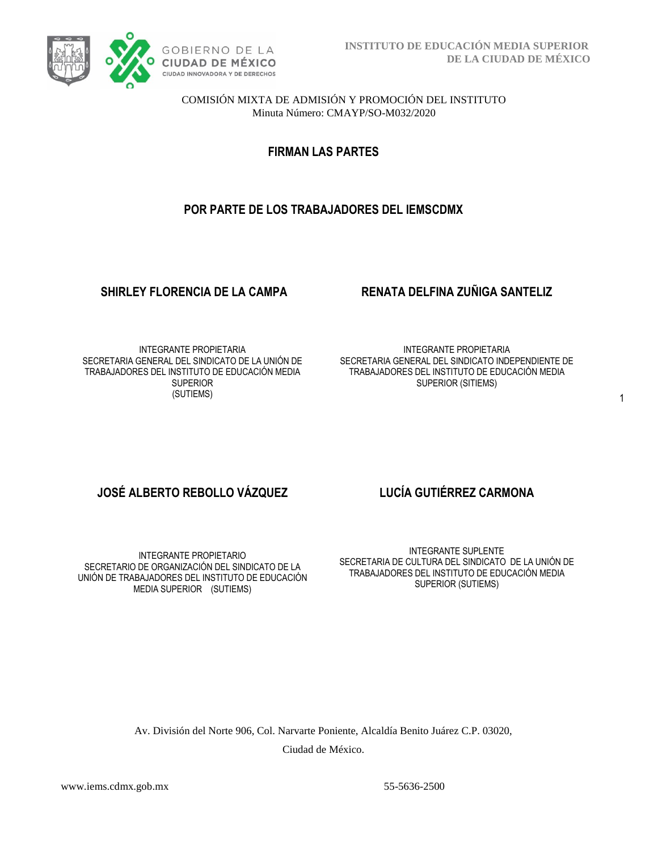

COMISIÓN MIXTA DE ADMISIÓN Y PROMOCIÓN DEL INSTITUTO Minuta Número: CMAYP/SO-M032/2020

**FIRMAN LAS PARTES**

# **POR PARTE DE LOS TRABAJADORES DEL IEMSCDMX**

# **SHIRLEY FLORENCIA DE LA CAMPA RENATA DELFINA ZUÑIGA SANTELIZ**

INTEGRANTE PROPIETARIA SECRETARIA GENERAL DEL SINDICATO DE LA UNIÓN DE TRABAJADORES DEL INSTITUTO DE EDUCACIÓN MEDIA **SUPERIOR** (SUTIEMS)

INTEGRANTE PROPIETARIA SECRETARIA GENERAL DEL SINDICATO INDEPENDIENTE DE TRABAJADORES DEL INSTITUTO DE EDUCACIÓN MEDIA SUPERIOR (SITIEMS)

# JOSÉ ALBERTO REBOLLO VÁZQUEZ LUCÍA GUTIÉRREZ CARMONA

INTEGRANTE PROPIETARIO SECRETARIO DE ORGANIZACIÓN DEL SINDICATO DE LA UNIÓN DE TRABAJADORES DEL INSTITUTO DE EDUCACIÓN MEDIA SUPERIOR (SUTIEMS)

INTEGRANTE SUPLENTE SECRETARIA DE CULTURA DEL SINDICATO DE LA UNIÓN DE TRABAJADORES DEL INSTITUTO DE EDUCACIÓN MEDIA SUPERIOR (SUTIEMS)

Av. División del Norte 906, Col. Narvarte Poniente, Alcaldía Benito Juárez C.P. 03020,

Ciudad de México.